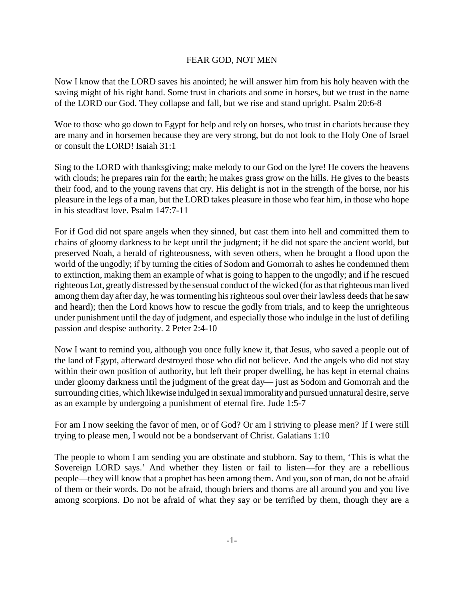## FEAR GOD, NOT MEN

Now I know that the LORD saves his anointed; he will answer him from his holy heaven with the saving might of his right hand. Some trust in chariots and some in horses, but we trust in the name of the LORD our God. They collapse and fall, but we rise and stand upright. Psalm 20:6-8

Woe to those who go down to Egypt for help and rely on horses, who trust in chariots because they are many and in horsemen because they are very strong, but do not look to the Holy One of Israel or consult the LORD! Isaiah 31:1

Sing to the LORD with thanksgiving; make melody to our God on the lyre! He covers the heavens with clouds; he prepares rain for the earth; he makes grass grow on the hills. He gives to the beasts their food, and to the young ravens that cry. His delight is not in the strength of the horse, nor his pleasure in the legs of a man, but the LORD takes pleasure in those who fear him, in those who hope in his steadfast love. Psalm 147:7-11

For if God did not spare angels when they sinned, but cast them into hell and committed them to chains of gloomy darkness to be kept until the judgment; if he did not spare the ancient world, but preserved Noah, a herald of righteousness, with seven others, when he brought a flood upon the world of the ungodly; if by turning the cities of Sodom and Gomorrah to ashes he condemned them to extinction, making them an example of what is going to happen to the ungodly; and if he rescued righteous Lot, greatly distressed by the sensual conduct of the wicked (for as that righteous man lived among them day after day, he was tormenting his righteous soul over their lawless deeds that he saw and heard); then the Lord knows how to rescue the godly from trials, and to keep the unrighteous under punishment until the day of judgment, and especially those who indulge in the lust of defiling passion and despise authority. 2 Peter 2:4-10

Now I want to remind you, although you once fully knew it, that Jesus, who saved a people out of the land of Egypt, afterward destroyed those who did not believe. And the angels who did not stay within their own position of authority, but left their proper dwelling, he has kept in eternal chains under gloomy darkness until the judgment of the great day— just as Sodom and Gomorrah and the surrounding cities, which likewise indulged in sexual immorality and pursued unnatural desire, serve as an example by undergoing a punishment of eternal fire. Jude 1:5-7

For am I now seeking the favor of men, or of God? Or am I striving to please men? If I were still trying to please men, I would not be a bondservant of Christ. Galatians 1:10

The people to whom I am sending you are obstinate and stubborn. Say to them, 'This is what the Sovereign LORD says.' And whether they listen or fail to listen—for they are a rebellious people—they will know that a prophet has been among them. And you, son of man, do not be afraid of them or their words. Do not be afraid, though briers and thorns are all around you and you live among scorpions. Do not be afraid of what they say or be terrified by them, though they are a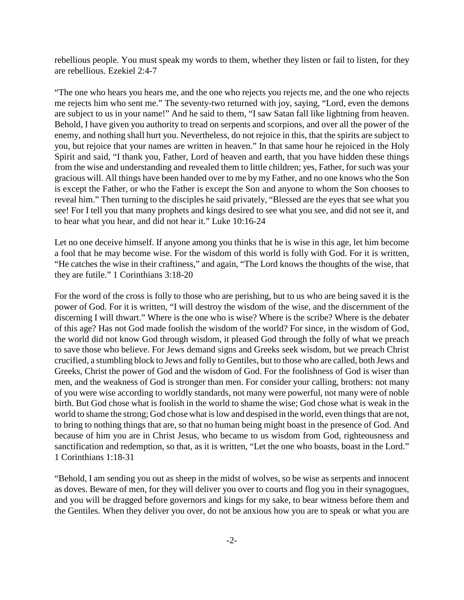rebellious people. You must speak my words to them, whether they listen or fail to listen, for they are rebellious. Ezekiel 2:4-7

"The one who hears you hears me, and the one who rejects you rejects me, and the one who rejects me rejects him who sent me." The seventy-two returned with joy, saying, "Lord, even the demons are subject to us in your name!" And he said to them, "I saw Satan fall like lightning from heaven. Behold, I have given you authority to tread on serpents and scorpions, and over all the power of the enemy, and nothing shall hurt you. Nevertheless, do not rejoice in this, that the spirits are subject to you, but rejoice that your names are written in heaven." In that same hour he rejoiced in the Holy Spirit and said, "I thank you, Father, Lord of heaven and earth, that you have hidden these things from the wise and understanding and revealed them to little children; yes, Father, for such was your gracious will. All things have been handed over to me by my Father, and no one knows who the Son is except the Father, or who the Father is except the Son and anyone to whom the Son chooses to reveal him." Then turning to the disciples he said privately, "Blessed are the eyes that see what you see! For I tell you that many prophets and kings desired to see what you see, and did not see it, and to hear what you hear, and did not hear it." Luke 10:16-24

Let no one deceive himself. If anyone among you thinks that he is wise in this age, let him become a fool that he may become wise. For the wisdom of this world is folly with God. For it is written, "He catches the wise in their craftiness," and again, "The Lord knows the thoughts of the wise, that they are futile." 1 Corinthians 3:18-20

For the word of the cross is folly to those who are perishing, but to us who are being saved it is the power of God. For it is written, "I will destroy the wisdom of the wise, and the discernment of the discerning I will thwart." Where is the one who is wise? Where is the scribe? Where is the debater of this age? Has not God made foolish the wisdom of the world? For since, in the wisdom of God, the world did not know God through wisdom, it pleased God through the folly of what we preach to save those who believe. For Jews demand signs and Greeks seek wisdom, but we preach Christ crucified, a stumbling block to Jews and folly to Gentiles, but to those who are called, both Jews and Greeks, Christ the power of God and the wisdom of God. For the foolishness of God is wiser than men, and the weakness of God is stronger than men. For consider your calling, brothers: not many of you were wise according to worldly standards, not many were powerful, not many were of noble birth. But God chose what is foolish in the world to shame the wise; God chose what is weak in the world to shame the strong; God chose what is low and despised in the world, even things that are not, to bring to nothing things that are, so that no human being might boast in the presence of God. And because of him you are in Christ Jesus, who became to us wisdom from God, righteousness and sanctification and redemption, so that, as it is written, "Let the one who boasts, boast in the Lord." 1 Corinthians 1:18-31

"Behold, I am sending you out as sheep in the midst of wolves, so be wise as serpents and innocent as doves. Beware of men, for they will deliver you over to courts and flog you in their synagogues, and you will be dragged before governors and kings for my sake, to bear witness before them and the Gentiles. When they deliver you over, do not be anxious how you are to speak or what you are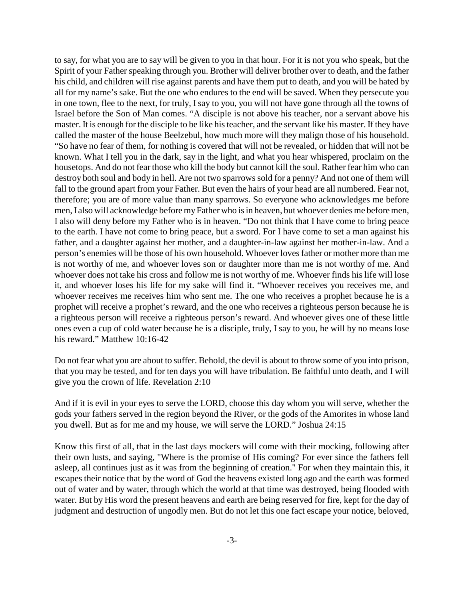to say, for what you are to say will be given to you in that hour. For it is not you who speak, but the Spirit of your Father speaking through you. Brother will deliver brother over to death, and the father his child, and children will rise against parents and have them put to death, and you will be hated by all for my name's sake. But the one who endures to the end will be saved. When they persecute you in one town, flee to the next, for truly, I say to you, you will not have gone through all the towns of Israel before the Son of Man comes. "A disciple is not above his teacher, nor a servant above his master. It is enough for the disciple to be like his teacher, and the servant like his master. If they have called the master of the house Beelzebul, how much more will they malign those of his household. "So have no fear of them, for nothing is covered that will not be revealed, or hidden that will not be known. What I tell you in the dark, say in the light, and what you hear whispered, proclaim on the housetops. And do not fear those who kill the body but cannot kill the soul. Rather fear him who can destroy both soul and body in hell. Are not two sparrows sold for a penny? And not one of them will fall to the ground apart from your Father. But even the hairs of your head are all numbered. Fear not, therefore; you are of more value than many sparrows. So everyone who acknowledges me before men, I also will acknowledge before my Father who is in heaven, but whoever denies me before men, I also will deny before my Father who is in heaven. "Do not think that I have come to bring peace to the earth. I have not come to bring peace, but a sword. For I have come to set a man against his father, and a daughter against her mother, and a daughter-in-law against her mother-in-law. And a person's enemies will be those of his own household. Whoever loves father or mother more than me is not worthy of me, and whoever loves son or daughter more than me is not worthy of me. And whoever does not take his cross and follow me is not worthy of me. Whoever finds his life will lose it, and whoever loses his life for my sake will find it. "Whoever receives you receives me, and whoever receives me receives him who sent me. The one who receives a prophet because he is a prophet will receive a prophet's reward, and the one who receives a righteous person because he is a righteous person will receive a righteous person's reward. And whoever gives one of these little ones even a cup of cold water because he is a disciple, truly, I say to you, he will by no means lose his reward." Matthew 10:16-42

Do not fear what you are about to suffer. Behold, the devil is about to throw some of you into prison, that you may be tested, and for ten days you will have tribulation. Be faithful unto death, and I will give you the crown of life. Revelation 2:10

And if it is evil in your eyes to serve the LORD, choose this day whom you will serve, whether the gods your fathers served in the region beyond the River, or the gods of the Amorites in whose land you dwell. But as for me and my house, we will serve the LORD." Joshua 24:15

Know this first of all, that in the last days mockers will come with their mocking, following after their own lusts, and saying, "Where is the promise of His coming? For ever since the fathers fell asleep, all continues just as it was from the beginning of creation." For when they maintain this, it escapes their notice that by the word of God the heavens existed long ago and the earth was formed out of water and by water, through which the world at that time was destroyed, being flooded with water. But by His word the present heavens and earth are being reserved for fire, kept for the day of judgment and destruction of ungodly men. But do not let this one fact escape your notice, beloved,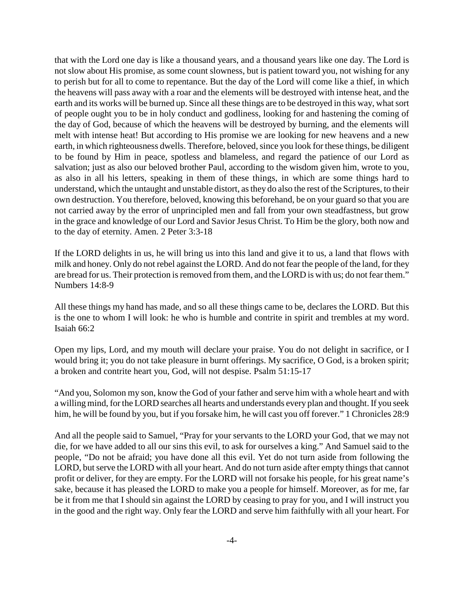that with the Lord one day is like a thousand years, and a thousand years like one day. The Lord is not slow about His promise, as some count slowness, but is patient toward you, not wishing for any to perish but for all to come to repentance. But the day of the Lord will come like a thief, in which the heavens will pass away with a roar and the elements will be destroyed with intense heat, and the earth and its works will be burned up. Since all these things are to be destroyed in this way, what sort of people ought you to be in holy conduct and godliness, looking for and hastening the coming of the day of God, because of which the heavens will be destroyed by burning, and the elements will melt with intense heat! But according to His promise we are looking for new heavens and a new earth, in which righteousness dwells. Therefore, beloved, since you look for these things, be diligent to be found by Him in peace, spotless and blameless, and regard the patience of our Lord as salvation; just as also our beloved brother Paul, according to the wisdom given him, wrote to you, as also in all his letters, speaking in them of these things, in which are some things hard to understand, which the untaught and unstable distort, as they do also the rest of the Scriptures, to their own destruction. You therefore, beloved, knowing this beforehand, be on your guard so that you are not carried away by the error of unprincipled men and fall from your own steadfastness, but grow in the grace and knowledge of our Lord and Savior Jesus Christ. To Him be the glory, both now and to the day of eternity. Amen. 2 Peter 3:3-18

If the LORD delights in us, he will bring us into this land and give it to us, a land that flows with milk and honey. Only do not rebel against the LORD. And do not fear the people of the land, for they are bread for us. Their protection is removed from them, and the LORD is with us; do not fear them." Numbers 14:8-9

All these things my hand has made, and so all these things came to be, declares the LORD. But this is the one to whom I will look: he who is humble and contrite in spirit and trembles at my word. Isaiah 66:2

Open my lips, Lord, and my mouth will declare your praise. You do not delight in sacrifice, or I would bring it; you do not take pleasure in burnt offerings. My sacrifice, O God, is a broken spirit; a broken and contrite heart you, God, will not despise. Psalm 51:15-17

"And you, Solomon my son, know the God of your father and serve him with a whole heart and with a willing mind, for the LORD searches all hearts and understands every plan and thought. If you seek him, he will be found by you, but if you forsake him, he will cast you off forever." 1 Chronicles 28:9

And all the people said to Samuel, "Pray for your servants to the LORD your God, that we may not die, for we have added to all our sins this evil, to ask for ourselves a king." And Samuel said to the people, "Do not be afraid; you have done all this evil. Yet do not turn aside from following the LORD, but serve the LORD with all your heart. And do not turn aside after empty things that cannot profit or deliver, for they are empty. For the LORD will not forsake his people, for his great name's sake, because it has pleased the LORD to make you a people for himself. Moreover, as for me, far be it from me that I should sin against the LORD by ceasing to pray for you, and I will instruct you in the good and the right way. Only fear the LORD and serve him faithfully with all your heart. For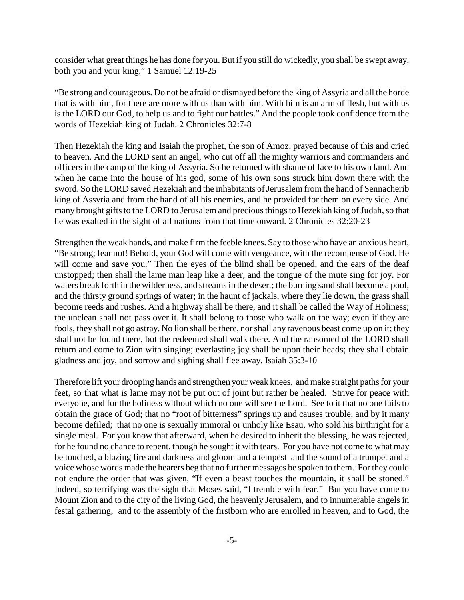consider what great things he has done for you. But if you still do wickedly, you shall be swept away, both you and your king." 1 Samuel 12:19-25

"Be strong and courageous. Do not be afraid or dismayed before the king of Assyria and all the horde that is with him, for there are more with us than with him. With him is an arm of flesh, but with us is the LORD our God, to help us and to fight our battles." And the people took confidence from the words of Hezekiah king of Judah. 2 Chronicles 32:7-8

Then Hezekiah the king and Isaiah the prophet, the son of Amoz, prayed because of this and cried to heaven. And the LORD sent an angel, who cut off all the mighty warriors and commanders and officers in the camp of the king of Assyria. So he returned with shame of face to his own land. And when he came into the house of his god, some of his own sons struck him down there with the sword. So the LORD saved Hezekiah and the inhabitants of Jerusalem from the hand of Sennacherib king of Assyria and from the hand of all his enemies, and he provided for them on every side. And many brought gifts to the LORD to Jerusalem and precious things to Hezekiah king of Judah, so that he was exalted in the sight of all nations from that time onward. 2 Chronicles 32:20-23

Strengthen the weak hands, and make firm the feeble knees. Say to those who have an anxious heart, "Be strong; fear not! Behold, your God will come with vengeance, with the recompense of God. He will come and save you." Then the eyes of the blind shall be opened, and the ears of the deaf unstopped; then shall the lame man leap like a deer, and the tongue of the mute sing for joy. For waters break forth in the wilderness, and streams in the desert; the burning sand shall become a pool, and the thirsty ground springs of water; in the haunt of jackals, where they lie down, the grass shall become reeds and rushes. And a highway shall be there, and it shall be called the Way of Holiness; the unclean shall not pass over it. It shall belong to those who walk on the way; even if they are fools, they shall not go astray. No lion shall be there, nor shall any ravenous beast come up on it; they shall not be found there, but the redeemed shall walk there. And the ransomed of the LORD shall return and come to Zion with singing; everlasting joy shall be upon their heads; they shall obtain gladness and joy, and sorrow and sighing shall flee away. Isaiah 35:3-10

Therefore lift your drooping hands and strengthen your weak knees, and make straight paths for your feet, so that what is lame may not be put out of joint but rather be healed. Strive for peace with everyone, and for the holiness without which no one will see the Lord. See to it that no one fails to obtain the grace of God; that no "root of bitterness" springs up and causes trouble, and by it many become defiled; that no one is sexually immoral or unholy like Esau, who sold his birthright for a single meal. For you know that afterward, when he desired to inherit the blessing, he was rejected, for he found no chance to repent, though he sought it with tears. For you have not come to what may be touched, a blazing fire and darkness and gloom and a tempest and the sound of a trumpet and a voice whose words made the hearers beg that no further messages be spoken to them. For they could not endure the order that was given, "If even a beast touches the mountain, it shall be stoned." Indeed, so terrifying was the sight that Moses said, "I tremble with fear." But you have come to Mount Zion and to the city of the living God, the heavenly Jerusalem, and to innumerable angels in festal gathering, and to the assembly of the firstborn who are enrolled in heaven, and to God, the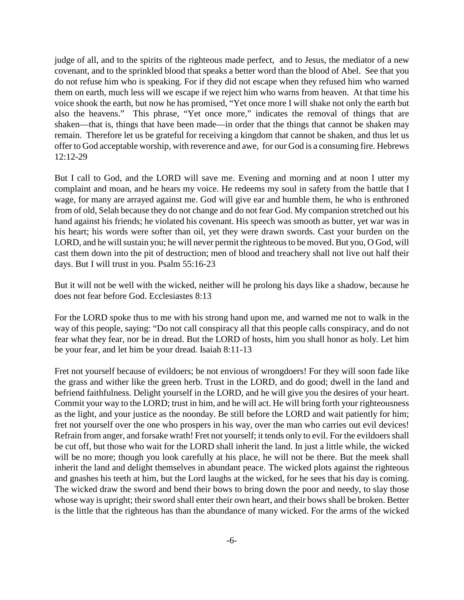judge of all, and to the spirits of the righteous made perfect, and to Jesus, the mediator of a new covenant, and to the sprinkled blood that speaks a better word than the blood of Abel. See that you do not refuse him who is speaking. For if they did not escape when they refused him who warned them on earth, much less will we escape if we reject him who warns from heaven. At that time his voice shook the earth, but now he has promised, "Yet once more I will shake not only the earth but also the heavens." This phrase, "Yet once more," indicates the removal of things that are shaken—that is, things that have been made—in order that the things that cannot be shaken may remain. Therefore let us be grateful for receiving a kingdom that cannot be shaken, and thus let us offer to God acceptable worship, with reverence and awe, for our God is a consuming fire. Hebrews 12:12-29

But I call to God, and the LORD will save me. Evening and morning and at noon I utter my complaint and moan, and he hears my voice. He redeems my soul in safety from the battle that I wage, for many are arrayed against me. God will give ear and humble them, he who is enthroned from of old, Selah because they do not change and do not fear God. My companion stretched out his hand against his friends; he violated his covenant. His speech was smooth as butter, yet war was in his heart; his words were softer than oil, yet they were drawn swords. Cast your burden on the LORD, and he will sustain you; he will never permit the righteous to be moved. But you, O God, will cast them down into the pit of destruction; men of blood and treachery shall not live out half their days. But I will trust in you. Psalm 55:16-23

But it will not be well with the wicked, neither will he prolong his days like a shadow, because he does not fear before God. Ecclesiastes 8:13

For the LORD spoke thus to me with his strong hand upon me, and warned me not to walk in the way of this people, saying: "Do not call conspiracy all that this people calls conspiracy, and do not fear what they fear, nor be in dread. But the LORD of hosts, him you shall honor as holy. Let him be your fear, and let him be your dread. Isaiah 8:11-13

Fret not yourself because of evildoers; be not envious of wrongdoers! For they will soon fade like the grass and wither like the green herb. Trust in the LORD, and do good; dwell in the land and befriend faithfulness. Delight yourself in the LORD, and he will give you the desires of your heart. Commit your way to the LORD; trust in him, and he will act. He will bring forth your righteousness as the light, and your justice as the noonday. Be still before the LORD and wait patiently for him; fret not yourself over the one who prospers in his way, over the man who carries out evil devices! Refrain from anger, and forsake wrath! Fret not yourself; it tends only to evil. For the evildoers shall be cut off, but those who wait for the LORD shall inherit the land. In just a little while, the wicked will be no more; though you look carefully at his place, he will not be there. But the meek shall inherit the land and delight themselves in abundant peace. The wicked plots against the righteous and gnashes his teeth at him, but the Lord laughs at the wicked, for he sees that his day is coming. The wicked draw the sword and bend their bows to bring down the poor and needy, to slay those whose way is upright; their sword shall enter their own heart, and their bows shall be broken. Better is the little that the righteous has than the abundance of many wicked. For the arms of the wicked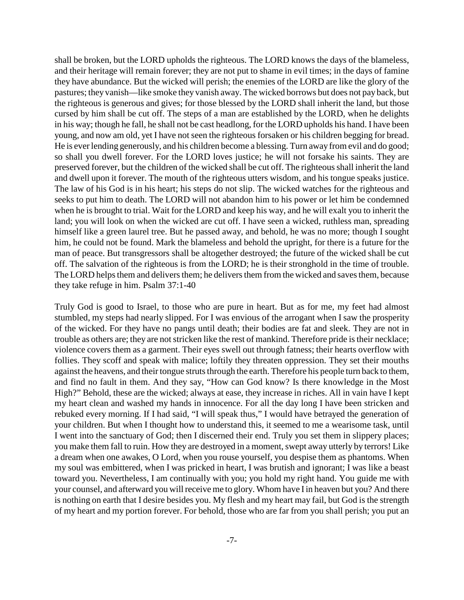shall be broken, but the LORD upholds the righteous. The LORD knows the days of the blameless, and their heritage will remain forever; they are not put to shame in evil times; in the days of famine they have abundance. But the wicked will perish; the enemies of the LORD are like the glory of the pastures; they vanish—like smoke they vanish away. The wicked borrows but does not pay back, but the righteous is generous and gives; for those blessed by the LORD shall inherit the land, but those cursed by him shall be cut off. The steps of a man are established by the LORD, when he delights in his way; though he fall, he shall not be cast headlong, for the LORD upholds his hand. I have been young, and now am old, yet I have not seen the righteous forsaken or his children begging for bread. He is ever lending generously, and his children become a blessing. Turn away from evil and do good; so shall you dwell forever. For the LORD loves justice; he will not forsake his saints. They are preserved forever, but the children of the wicked shall be cut off. The righteous shall inherit the land and dwell upon it forever. The mouth of the righteous utters wisdom, and his tongue speaks justice. The law of his God is in his heart; his steps do not slip. The wicked watches for the righteous and seeks to put him to death. The LORD will not abandon him to his power or let him be condemned when he is brought to trial. Wait for the LORD and keep his way, and he will exalt you to inherit the land; you will look on when the wicked are cut off. I have seen a wicked, ruthless man, spreading himself like a green laurel tree. But he passed away, and behold, he was no more; though I sought him, he could not be found. Mark the blameless and behold the upright, for there is a future for the man of peace. But transgressors shall be altogether destroyed; the future of the wicked shall be cut off. The salvation of the righteous is from the LORD; he is their stronghold in the time of trouble. The LORD helps them and delivers them; he delivers them from the wicked and saves them, because they take refuge in him. Psalm 37:1-40

Truly God is good to Israel, to those who are pure in heart. But as for me, my feet had almost stumbled, my steps had nearly slipped. For I was envious of the arrogant when I saw the prosperity of the wicked. For they have no pangs until death; their bodies are fat and sleek. They are not in trouble as others are; they are not stricken like the rest of mankind. Therefore pride is their necklace; violence covers them as a garment. Their eyes swell out through fatness; their hearts overflow with follies. They scoff and speak with malice; loftily they threaten oppression. They set their mouths against the heavens, and their tongue struts through the earth. Therefore his people turn back to them, and find no fault in them. And they say, "How can God know? Is there knowledge in the Most High?" Behold, these are the wicked; always at ease, they increase in riches. All in vain have I kept my heart clean and washed my hands in innocence. For all the day long I have been stricken and rebuked every morning. If I had said, "I will speak thus," I would have betrayed the generation of your children. But when I thought how to understand this, it seemed to me a wearisome task, until I went into the sanctuary of God; then I discerned their end. Truly you set them in slippery places; you make them fall to ruin. How they are destroyed in a moment, swept away utterly by terrors! Like a dream when one awakes, O Lord, when you rouse yourself, you despise them as phantoms. When my soul was embittered, when I was pricked in heart, I was brutish and ignorant; I was like a beast toward you. Nevertheless, I am continually with you; you hold my right hand. You guide me with your counsel, and afterward you will receive me to glory. Whom have I in heaven but you? And there is nothing on earth that I desire besides you. My flesh and my heart may fail, but God is the strength of my heart and my portion forever. For behold, those who are far from you shall perish; you put an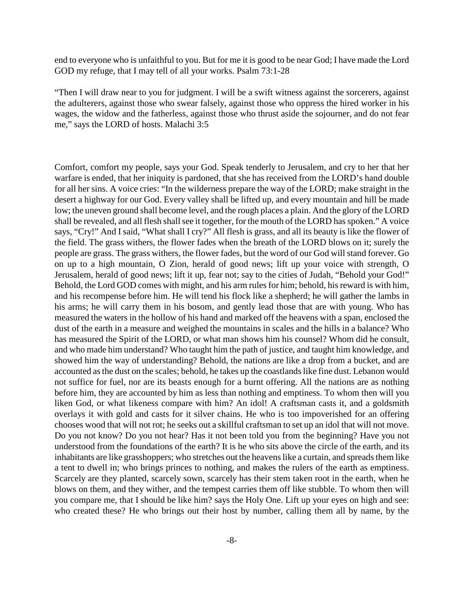end to everyone who is unfaithful to you. But for me it is good to be near God; I have made the Lord GOD my refuge, that I may tell of all your works. Psalm 73:1-28

"Then I will draw near to you for judgment. I will be a swift witness against the sorcerers, against the adulterers, against those who swear falsely, against those who oppress the hired worker in his wages, the widow and the fatherless, against those who thrust aside the sojourner, and do not fear me," says the LORD of hosts. Malachi 3:5

Comfort, comfort my people, says your God. Speak tenderly to Jerusalem, and cry to her that her warfare is ended, that her iniquity is pardoned, that she has received from the LORD's hand double for all her sins. A voice cries: "In the wilderness prepare the way of the LORD; make straight in the desert a highway for our God. Every valley shall be lifted up, and every mountain and hill be made low; the uneven ground shall become level, and the rough places a plain. And the glory of the LORD shall be revealed, and all flesh shall see it together, for the mouth of the LORD has spoken." A voice says, "Cry!" And I said, "What shall I cry?" All flesh is grass, and all its beauty is like the flower of the field. The grass withers, the flower fades when the breath of the LORD blows on it; surely the people are grass. The grass withers, the flower fades, but the word of our God will stand forever. Go on up to a high mountain, O Zion, herald of good news; lift up your voice with strength, O Jerusalem, herald of good news; lift it up, fear not; say to the cities of Judah, "Behold your God!" Behold, the Lord GOD comes with might, and his arm rules for him; behold, his reward is with him, and his recompense before him. He will tend his flock like a shepherd; he will gather the lambs in his arms; he will carry them in his bosom, and gently lead those that are with young. Who has measured the waters in the hollow of his hand and marked off the heavens with a span, enclosed the dust of the earth in a measure and weighed the mountains in scales and the hills in a balance? Who has measured the Spirit of the LORD, or what man shows him his counsel? Whom did he consult, and who made him understand? Who taught him the path of justice, and taught him knowledge, and showed him the way of understanding? Behold, the nations are like a drop from a bucket, and are accounted as the dust on the scales; behold, he takes up the coastlands like fine dust. Lebanon would not suffice for fuel, nor are its beasts enough for a burnt offering. All the nations are as nothing before him, they are accounted by him as less than nothing and emptiness. To whom then will you liken God, or what likeness compare with him? An idol! A craftsman casts it, and a goldsmith overlays it with gold and casts for it silver chains. He who is too impoverished for an offering chooses wood that will not rot; he seeks out a skillful craftsman to set up an idol that will not move. Do you not know? Do you not hear? Has it not been told you from the beginning? Have you not understood from the foundations of the earth? It is he who sits above the circle of the earth, and its inhabitants are like grasshoppers; who stretches out the heavens like a curtain, and spreads them like a tent to dwell in; who brings princes to nothing, and makes the rulers of the earth as emptiness. Scarcely are they planted, scarcely sown, scarcely has their stem taken root in the earth, when he blows on them, and they wither, and the tempest carries them off like stubble. To whom then will you compare me, that I should be like him? says the Holy One. Lift up your eyes on high and see: who created these? He who brings out their host by number, calling them all by name, by the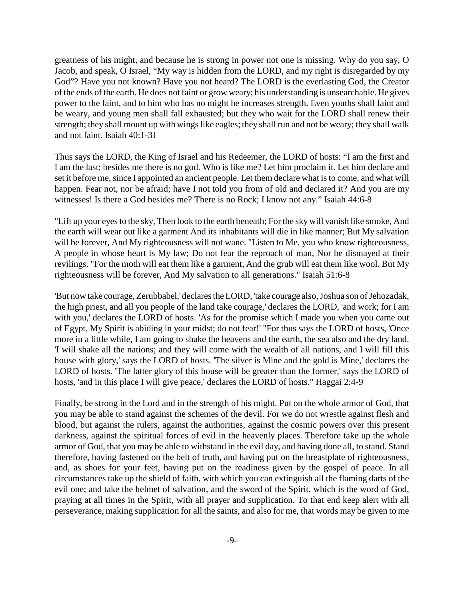greatness of his might, and because he is strong in power not one is missing. Why do you say, O Jacob, and speak, O Israel, "My way is hidden from the LORD, and my right is disregarded by my God"? Have you not known? Have you not heard? The LORD is the everlasting God, the Creator of the ends of the earth. He does not faint or grow weary; his understanding is unsearchable. He gives power to the faint, and to him who has no might he increases strength. Even youths shall faint and be weary, and young men shall fall exhausted; but they who wait for the LORD shall renew their strength; they shall mount up with wings like eagles; they shall run and not be weary; they shall walk and not faint. Isaiah 40:1-31

Thus says the LORD, the King of Israel and his Redeemer, the LORD of hosts: "I am the first and I am the last; besides me there is no god. Who is like me? Let him proclaim it. Let him declare and set it before me, since I appointed an ancient people. Let them declare what is to come, and what will happen. Fear not, nor be afraid; have I not told you from of old and declared it? And you are my witnesses! Is there a God besides me? There is no Rock; I know not any." Isaiah 44:6-8

"Lift up your eyes to the sky, Then look to the earth beneath; For the sky will vanish like smoke, And the earth will wear out like a garment And its inhabitants will die in like manner; But My salvation will be forever, And My righteousness will not wane. "Listen to Me, you who know righteousness, A people in whose heart is My law; Do not fear the reproach of man, Nor be dismayed at their revilings. "For the moth will eat them like a garment, And the grub will eat them like wool. But My righteousness will be forever, And My salvation to all generations." Isaiah 51:6-8

'But now take courage, Zerubbabel,' declares the LORD, 'take courage also, Joshua son of Jehozadak, the high priest, and all you people of the land take courage,' declares the LORD, 'and work; for I am with you,' declares the LORD of hosts. 'As for the promise which I made you when you came out of Egypt, My Spirit is abiding in your midst; do not fear!' "For thus says the LORD of hosts, 'Once more in a little while, I am going to shake the heavens and the earth, the sea also and the dry land. 'I will shake all the nations; and they will come with the wealth of all nations, and I will fill this house with glory,' says the LORD of hosts. 'The silver is Mine and the gold is Mine,' declares the LORD of hosts. 'The latter glory of this house will be greater than the former,' says the LORD of hosts, 'and in this place I will give peace,' declares the LORD of hosts." Haggai 2:4-9

Finally, be strong in the Lord and in the strength of his might. Put on the whole armor of God, that you may be able to stand against the schemes of the devil. For we do not wrestle against flesh and blood, but against the rulers, against the authorities, against the cosmic powers over this present darkness, against the spiritual forces of evil in the heavenly places. Therefore take up the whole armor of God, that you may be able to withstand in the evil day, and having done all, to stand. Stand therefore, having fastened on the belt of truth, and having put on the breastplate of righteousness, and, as shoes for your feet, having put on the readiness given by the gospel of peace. In all circumstances take up the shield of faith, with which you can extinguish all the flaming darts of the evil one; and take the helmet of salvation, and the sword of the Spirit, which is the word of God, praying at all times in the Spirit, with all prayer and supplication. To that end keep alert with all perseverance, making supplication for all the saints, and also for me, that words may be given to me